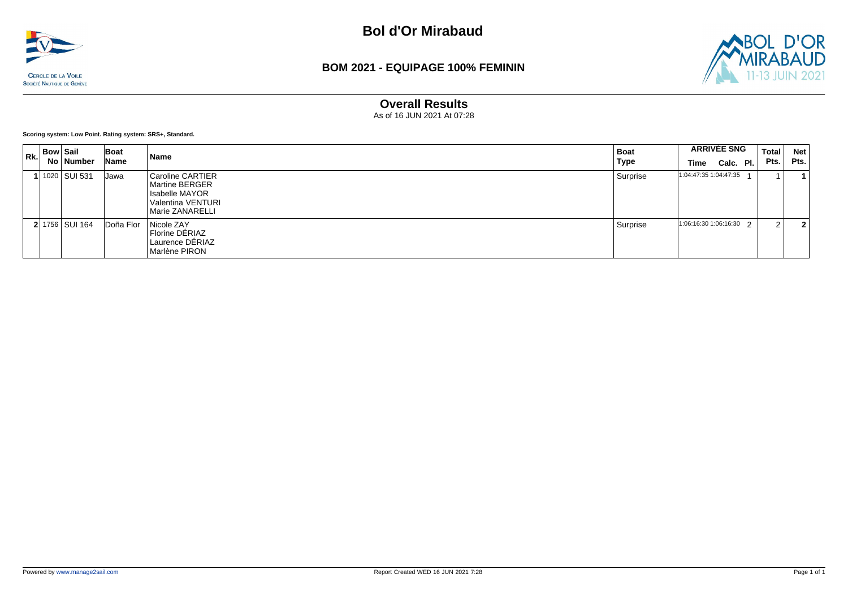

#### **BOM 2021 - EQUIPAGE 100% FEMININ**



#### **Overall Results**

As of 16 JUN 2021 At 07:28

**Scoring system: Low Point. Rating system: SRS+, Standard.**

| $R_{\rm K,1}$ | Bow   Sail | No   Number    | Boat<br>Name | Name                                                                                                    | <b>Boat</b><br><b>Type</b> | <b>ARRIVÉE SNG</b><br>Time | Calc. Pl. | Total<br>Pts. | <b>Net</b><br>Pts. |
|---------------|------------|----------------|--------------|---------------------------------------------------------------------------------------------------------|----------------------------|----------------------------|-----------|---------------|--------------------|
|               |            | 1020 SUI 531   | Jawa         | <b>Caroline CARTIER</b><br>  Martine BERGER<br>Isabelle MAYOR<br>Valentina VENTURI<br>  Marie ZANARELLI | Surprise                   | 1:04:47:35 1:04:47:35      |           |               |                    |
|               |            | 2 1756 SUI 164 | Doña Flor    | Nicole ZAY<br>Florine DÉRIAZ<br>Laurence DERIAZ<br>Marlène PIRON                                        | Surprise                   | $1:06:16:301:06:16:30$ 2   |           | ົ             | 2                  |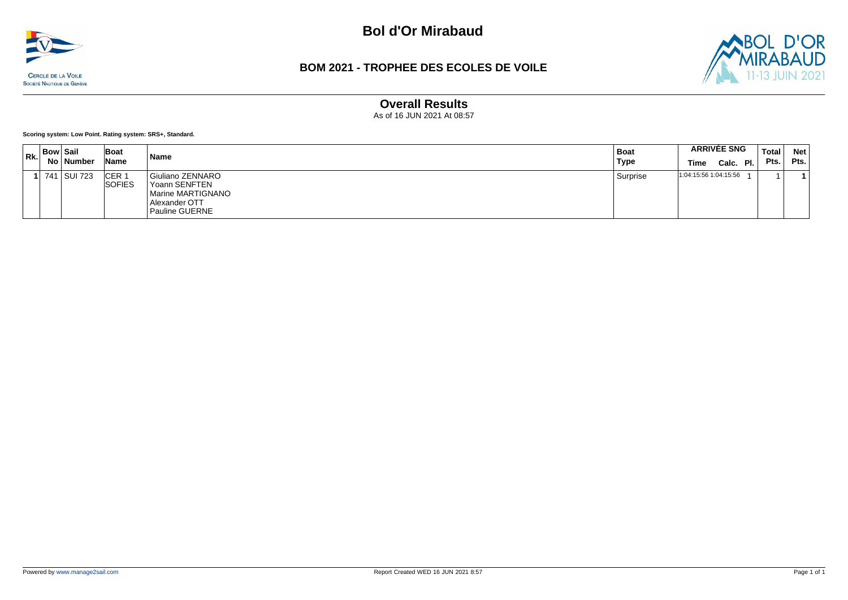

### **BOM 2021 - TROPHEE DES ECOLES DE VOILE**



## **Overall Results**

As of 16 JUN 2021 At 08:57

**Scoring system: Low Point. Rating system: SRS+, Standard.**

| Rk. | <b>Bow Sail</b> | No ∣ Number | Boat<br>Name            | Name                                                                                      | Boat<br>Type | <b>ARRIVÉE SNG</b><br>Calc. Pl.<br><b>Time</b> | Total<br>Pts. | <b>Net</b><br>Pts. |
|-----|-----------------|-------------|-------------------------|-------------------------------------------------------------------------------------------|--------------|------------------------------------------------|---------------|--------------------|
|     | 741             | SUI 723     | ICER 1<br><b>SOFIES</b> | Giuliano ZENNARO<br>Yoann SENFTEN<br>Marine MARTIGNANO<br>Alexander OTT<br>Pauline GUERNE | Surprise     | 1:04:15:56 1:04:15:56                          |               |                    |